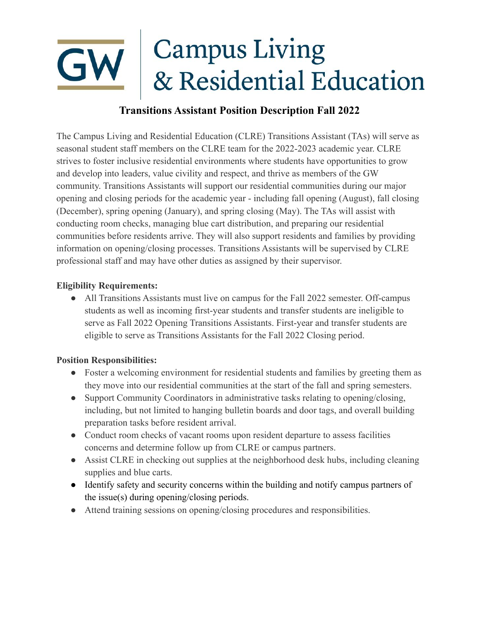## **Campus Living** & Residential Education

## **Transitions Assistant Position Description Fall 2022**

The Campus Living and Residential Education (CLRE) Transitions Assistant (TAs) will serve as seasonal student staff members on the CLRE team for the 2022-2023 academic year. CLRE strives to foster inclusive residential environments where students have opportunities to grow and develop into leaders, value civility and respect, and thrive as members of the GW community. Transitions Assistants will support our residential communities during our major opening and closing periods for the academic year - including fall opening (August), fall closing (December), spring opening (January), and spring closing (May). The TAs will assist with conducting room checks, managing blue cart distribution, and preparing our residential communities before residents arrive. They will also support residents and families by providing information on opening/closing processes. Transitions Assistants will be supervised by CLRE professional staff and may have other duties as assigned by their supervisor.

## **Eligibility Requirements:**

• All Transitions Assistants must live on campus for the Fall 2022 semester. Off-campus students as well as incoming first-year students and transfer students are ineligible to serve as Fall 2022 Opening Transitions Assistants. First-year and transfer students are eligible to serve as Transitions Assistants for the Fall 2022 Closing period.

## **Position Responsibilities:**

- Foster a welcoming environment for residential students and families by greeting them as they move into our residential communities at the start of the fall and spring semesters.
- Support Community Coordinators in administrative tasks relating to opening/closing, including, but not limited to hanging bulletin boards and door tags, and overall building preparation tasks before resident arrival.
- Conduct room checks of vacant rooms upon resident departure to assess facilities concerns and determine follow up from CLRE or campus partners.
- Assist CLRE in checking out supplies at the neighborhood desk hubs, including cleaning supplies and blue carts.
- Identify safety and security concerns within the building and notify campus partners of the issue(s) during opening/closing periods.
- Attend training sessions on opening/closing procedures and responsibilities.